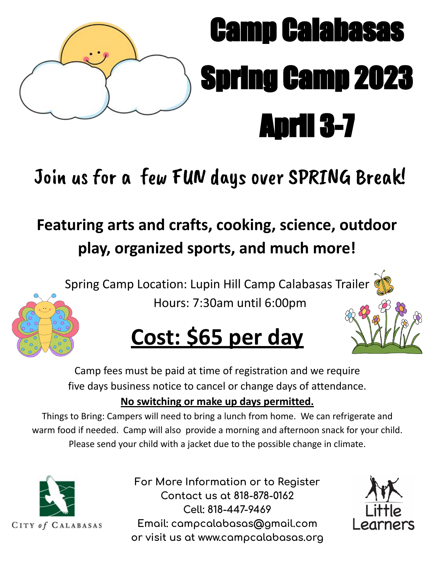

# Camp Calabasas Spring Camp 2023 April 3-7

# Join us for a few FUN days over SPRING Break!

# **Featuring arts and crafts, cooking, science, outdoor play, organized sports, and much more!**

Spring Camp Location: Lupin Hill Camp Calabasas Trailer Hours: 7:30am until 6:00pm



# **Cost: \$65 per day**

Camp fees must be paid at time of registration and we require five days business notice to cancel or change days of attendance.

### **No switching or make up days permitted.**

Things to Bring: Campers will need to bring a lunch from home. We can refrigerate and warm food if needed. Camp will also provide a morning and afternoon snack for your child. Please send your child with a jacket due to the possible change in climate.



For More Information or to Register **Contact us at 818-878-0162 Cell: 818-447-9469** Email: campcalabasas@gmail.com or visit us at www.campcalabasas.org

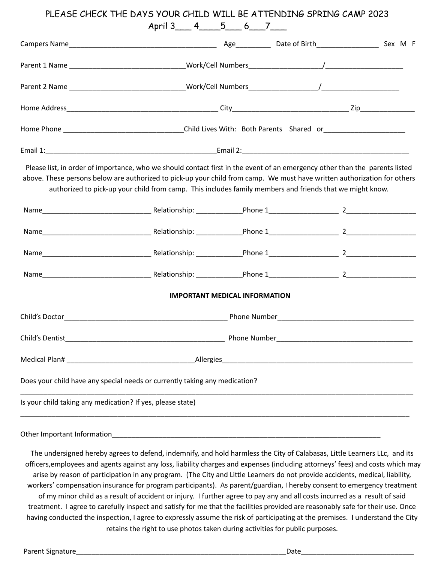#### PLEASE CHECK THE DAYS YOUR CHILD WILL BE ATTENDING SPRING CAMP 2023 April 3 4 5 6 7

|                                                                                                                 | Please list, in order of importance, who we should contact first in the event of an emergency other than the parents listed<br>above. These persons below are authorized to pick-up your child from camp. We must have written authorization for others<br>authorized to pick-up your child from camp. This includes family members and friends that we might know. |                                      |  |  |  |
|-----------------------------------------------------------------------------------------------------------------|---------------------------------------------------------------------------------------------------------------------------------------------------------------------------------------------------------------------------------------------------------------------------------------------------------------------------------------------------------------------|--------------------------------------|--|--|--|
|                                                                                                                 |                                                                                                                                                                                                                                                                                                                                                                     |                                      |  |  |  |
|                                                                                                                 |                                                                                                                                                                                                                                                                                                                                                                     |                                      |  |  |  |
|                                                                                                                 |                                                                                                                                                                                                                                                                                                                                                                     |                                      |  |  |  |
|                                                                                                                 |                                                                                                                                                                                                                                                                                                                                                                     |                                      |  |  |  |
|                                                                                                                 |                                                                                                                                                                                                                                                                                                                                                                     | <b>IMPORTANT MEDICAL INFORMATION</b> |  |  |  |
|                                                                                                                 |                                                                                                                                                                                                                                                                                                                                                                     |                                      |  |  |  |
|                                                                                                                 |                                                                                                                                                                                                                                                                                                                                                                     |                                      |  |  |  |
| Medical Plan# Management of the Medical Planet and Contract of the Medical Planet and Contract of the Medical S | Allergies                                                                                                                                                                                                                                                                                                                                                           |                                      |  |  |  |
|                                                                                                                 | Does your child have any special needs or currently taking any medication?                                                                                                                                                                                                                                                                                          |                                      |  |  |  |
|                                                                                                                 | Is your child taking any medication? If yes, please state)                                                                                                                                                                                                                                                                                                          |                                      |  |  |  |
|                                                                                                                 |                                                                                                                                                                                                                                                                                                                                                                     |                                      |  |  |  |

Other Important Information

The undersigned hereby agrees to defend, indemnify, and hold harmless the City of Calabasas, Little Learners LLc, and its officers,employees and agents against any loss, liability charges and expenses (including attorneys' fees) and costs which may arise by reason of participation in any program. (The City and Little Learners do not provide accidents, medical, liability, workers' compensation insurance for program participants). As parent/guardian, I hereby consent to emergency treatment of my minor child as a result of accident or injury. I further agree to pay any and all costs incurred as a result of said treatment. I agree to carefully inspect and satisfy for me that the facilities provided are reasonably safe for their use. Once having conducted the inspection, I agree to expressly assume the risk of participating at the premises. I understand the City retains the right to use photos taken during activities for public purposes.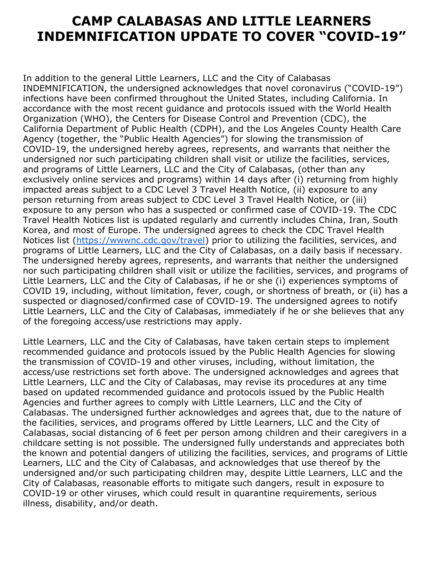#### **CAMP CALABASAS AND LITTLE LEARNERS INDEMNIFICATION UPDATE TO COVER "COVID-19"**

In addition to the general Little Learners, LLC and the City of Calabasas INDEMNIFICATION, the undersigned acknowledges that novel coronavirus ("COVID-19") infections have been confirmed throughout the United States, including California. In accordance with the most recent guidance and protocols issued with the World Health Organization (WHO), the Centers for Disease Control and Prevention (CDC), the California Department of Public Health (CDPH), and the Los Angeles County Health Care Agency (together, the "Public Health Agencies") for slowing the transmission of COVID-19, the undersigned hereby agrees, represents, and warrants that neither the undersigned nor such participating children shall visit or utilize the facilities, services, and programs of Little Learners, LLC and the City of Calabasas, (other than any exclusively online services and programs) within 14 days after (i) returning from highly impacted areas subject to a CDC Level 3 Travel Health Notice, (ii) exposure to any person returning from areas subject to CDC Level 3 Travel Health Notice, or (iii) exposure to any person who has a suspected or confirmed case of COVID-19. The CDC Travel Health Notices list is updated regularly and currently includes China, Iran, South Korea, and most of Europe. The undersigned agrees to check the CDC Travel Health Notices list ([https://wwwnc.cdc.gov/travel\)](https://wwwnc.cdc.gov/travel) prior to utilizing the facilities, services, and programs of Little Learners, LLC and the City of Calabasas, on a daily basis if necessary. The undersigned hereby agrees, represents, and warrants that neither the undersigned nor such participating children shall visit or utilize the facilities, services, and programs of Little Learners, LLC and the City of Calabasas, if he or she (i) experiences symptoms of COVID 19, including, without limitation, fever, cough, or shortness of breath, or (ii) has a suspected or diagnosed/confirmed case of COVID-19. The undersigned agrees to notify Little Learners, LLC and the City of Calabasas, immediately if he or she believes that any of the foregoing access/use restrictions may apply.

Little Learners, LLC and the City of Calabasas, have taken certain steps to implement recommended guidance and protocols issued by the Public Health Agencies for slowing the transmission of COVID-19 and other viruses, including, without limitation, the access/use restrictions set forth above. The undersigned acknowledges and agrees that Little Learners, LLC and the City of Calabasas, may revise its procedures at any time based on updated recommended guidance and protocols issued by the Public Health Agencies and further agrees to comply with Little Learners, LLC and the City of Calabasas. The undersigned further acknowledges and agrees that, due to the nature of the facilities, services, and programs offered by Little Learners, LLC and the City of Calabasas, social distancing of 6 feet per person among children and their caregivers in a childcare setting is not possible. The undersigned fully understands and appreciates both the known and potential dangers of utilizing the facilities, services, and programs of Little Learners, LLC and the City of Calabasas, and acknowledges that use thereof by the undersigned and/or such participating children may, despite Little Learners, LLC and the City of Calabasas, reasonable efforts to mitigate such dangers, result in exposure to COVID-19 or other viruses, which could result in quarantine requirements, serious illness, disability, and/or death.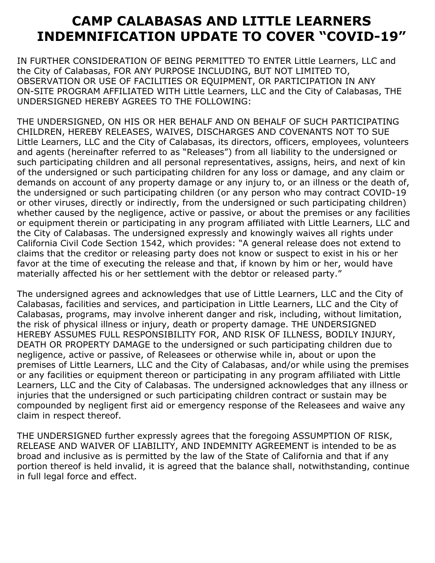### **CAMP CALABASAS AND LITTLE LEARNERS INDEMNIFICATION UPDATE TO COVER "COVID-19"**

IN FURTHER CONSIDERATION OF BEING PERMITTED TO ENTER Little Learners, LLC and the City of Calabasas, FOR ANY PURPOSE INCLUDING, BUT NOT LIMITED TO, OBSERVATION OR USE OF FACILITIES OR EQUIPMENT, OR PARTICIPATION IN ANY ON-SITE PROGRAM AFFILIATED WITH Little Learners, LLC and the City of Calabasas, THE UNDERSIGNED HEREBY AGREES TO THE FOLLOWING:

THE UNDERSIGNED, ON HIS OR HER BEHALF AND ON BEHALF OF SUCH PARTICIPATING CHILDREN, HEREBY RELEASES, WAIVES, DISCHARGES AND COVENANTS NOT TO SUE Little Learners, LLC and the City of Calabasas, its directors, officers, employees, volunteers and agents (hereinafter referred to as "Releases") from all liability to the undersigned or such participating children and all personal representatives, assigns, heirs, and next of kin of the undersigned or such participating children for any loss or damage, and any claim or demands on account of any property damage or any injury to, or an illness or the death of, the undersigned or such participating children (or any person who may contract COVID-19 or other viruses, directly or indirectly, from the undersigned or such participating children) whether caused by the negligence, active or passive, or about the premises or any facilities or equipment therein or participating in any program affiliated with Little Learners, LLC and the City of Calabasas. The undersigned expressly and knowingly waives all rights under California Civil Code Section 1542, which provides: "A general release does not extend to claims that the creditor or releasing party does not know or suspect to exist in his or her favor at the time of executing the release and that, if known by him or her, would have materially affected his or her settlement with the debtor or released party."

The undersigned agrees and acknowledges that use of Little Learners, LLC and the City of Calabasas, facilities and services, and participation in Little Learners, LLC and the City of Calabasas, programs, may involve inherent danger and risk, including, without limitation, the risk of physical illness or injury, death or property damage. THE UNDERSIGNED HEREBY ASSUMES FULL RESPONSIBILITY FOR, AND RISK OF ILLNESS, BODILY INJURY, DEATH OR PROPERTY DAMAGE to the undersigned or such participating children due to negligence, active or passive, of Releasees or otherwise while in, about or upon the premises of Little Learners, LLC and the City of Calabasas, and/or while using the premises or any facilities or equipment thereon or participating in any program affiliated with Little Learners, LLC and the City of Calabasas. The undersigned acknowledges that any illness or injuries that the undersigned or such participating children contract or sustain may be compounded by negligent first aid or emergency response of the Releasees and waive any claim in respect thereof.

THE UNDERSIGNED further expressly agrees that the foregoing ASSUMPTION OF RISK, RELEASE AND WAIVER OF LIABILITY, AND INDEMNITY AGREEMENT is intended to be as broad and inclusive as is permitted by the law of the State of California and that if any portion thereof is held invalid, it is agreed that the balance shall, notwithstanding, continue in full legal force and effect.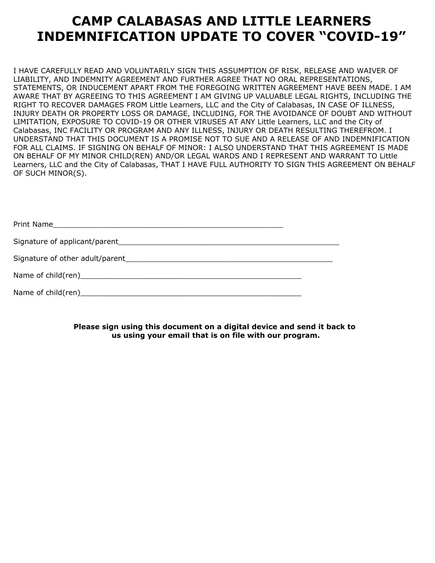### **CAMP CALABASAS AND LITTLE LEARNERS INDEMNIFICATION UPDATE TO COVER "COVID-19"**

I HAVE CAREFULLY READ AND VOLUNTARILY SIGN THIS ASSUMPTION OF RISK, RELEASE AND WAIVER OF LIABILITY, AND INDEMNITY AGREEMENT AND FURTHER AGREE THAT NO ORAL REPRESENTATIONS, STATEMENTS, OR INDUCEMENT APART FROM THE FOREGOING WRITTEN AGREEMENT HAVE BEEN MADE. I AM AWARE THAT BY AGREEING TO THIS AGREEMENT I AM GIVING UP VALUABLE LEGAL RIGHTS, INCLUDING THE RIGHT TO RECOVER DAMAGES FROM Little Learners, LLC and the City of Calabasas, IN CASE OF ILLNESS, INJURY DEATH OR PROPERTY LOSS OR DAMAGE, INCLUDING, FOR THE AVOIDANCE OF DOUBT AND WITHOUT LIMITATION, EXPOSURE TO COVID-19 OR OTHER VIRUSES AT ANY Little Learners, LLC and the City of Calabasas, INC FACILITY OR PROGRAM AND ANY ILLNESS, INJURY OR DEATH RESULTING THEREFROM. I UNDERSTAND THAT THIS DOCUMENT IS A PROMISE NOT TO SUE AND A RELEASE OF AND INDEMNIFICATION FOR ALL CLAIMS. IF SIGNING ON BEHALF OF MINOR: I ALSO UNDERSTAND THAT THIS AGREEMENT IS MADE ON BEHALF OF MY MINOR CHILD(REN) AND/OR LEGAL WARDS AND I REPRESENT AND WARRANT TO Little Learners, LLC and the City of Calabasas, THAT I HAVE FULL AUTHORITY TO SIGN THIS AGREEMENT ON BEHALF OF SUCH MINOR(S).

Print Name Signature of applicant/parent\_\_\_\_\_\_\_\_\_\_\_\_\_\_\_\_\_\_\_\_\_\_\_\_\_\_\_\_\_\_\_\_\_\_\_\_\_\_\_\_\_\_\_\_\_\_\_\_\_ Signature of other adult/parent\_\_\_\_\_\_\_\_\_\_\_\_\_\_\_\_\_\_\_\_\_\_\_\_\_\_\_\_\_\_\_\_\_\_\_\_\_\_\_\_\_\_\_\_\_\_

| Name of child(ren) |  |
|--------------------|--|

Name of child(ren)\_\_\_\_\_\_\_\_\_\_\_\_\_\_\_\_\_\_\_\_\_\_\_\_\_\_\_\_\_\_\_\_\_\_\_\_\_\_\_\_\_\_\_\_\_\_\_\_\_

**Please sign using this document on a digital device and send it back to us using your email that is on file with our program.**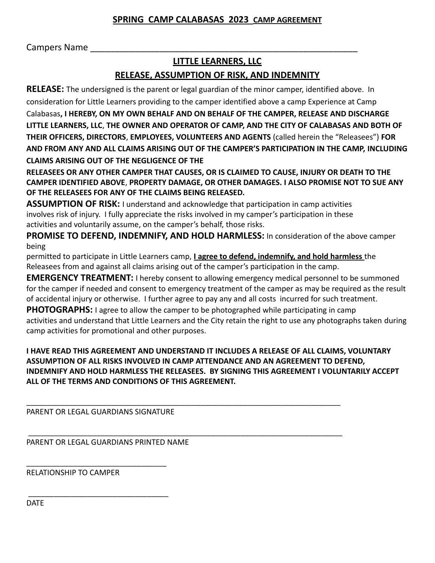#### **SPRING CAMP CALABASAS 2023 CAMP AGREEMENT**

Campers Name

#### **LITTLE LEARNERS, LLC**

#### **RELEASE, ASSUMPTION OF RISK, AND INDEMNITY**

**RELEASE:** The undersigned is the parent or legal guardian of the minor camper, identified above. In consideration for Little Learners providing to the camper identified above a camp Experience at Camp Calabasas**, I HEREBY, ON MY OWN BEHALF AND ON BEHALF OF THE CAMPER, RELEASE AND DISCHARGE LITTLE LEARNERS, LLC**, **THE OWNER AND OPERATOR OF CAMP, AND THE CITY OF CALABASAS AND BOTH OF THEIR OFFICERS, DIRECTORS**, **EMPLOYEES, VOLUNTEERS AND AGENTS** (called herein the "Releasees") **FOR AND FROM ANY AND ALL CLAIMS ARISING OUT OF THE CAMPER'S PARTICIPATION IN THE CAMP, INCLUDING CLAIMS ARISING OUT OF THE NEGLIGENCE OF THE**

**RELEASEES OR ANY OTHER CAMPER THAT CAUSES, OR IS CLAIMED TO CAUSE, INJURY OR DEATH TO THE CAMPER IDENTIFIED ABOVE**, **PROPERTY DAMAGE, OR OTHER DAMAGES. I ALSO PROMISE NOT TO SUE ANY OF THE RELEASEES FOR ANY OF THE CLAIMS BEING RELEASED.**

**ASSUMPTION OF RISK:** I understand and acknowledge that participation in camp activities involves risk of injury. I fully appreciate the risks involved in my camper's participation in these activities and voluntarily assume, on the camper's behalf, those risks.

**PROMISE TO DEFEND, INDEMNIFY, AND HOLD HARMLESS:** In consideration of the above camper being

permitted to participate in Little Learners camp, **I agree to defend, indemnify, and hold harmless** the Releasees from and against all claims arising out of the camper's participation in the camp.

**EMERGENCY TREATMENT:** I hereby consent to allowing emergency medical personnel to be summoned for the camper if needed and consent to emergency treatment of the camper as may be required as the result of accidental injury or otherwise. I further agree to pay any and all costs incurred for such treatment.

**PHOTOGRAPHS:** I agree to allow the camper to be photographed while participating in camp activities and understand that Little Learners and the City retain the right to use any photographs taken during camp activities for promotional and other purposes.

**I HAVE READ THIS AGREEMENT AND UNDERSTAND IT INCLUDES A RELEASE OF ALL CLAIMS, VOLUNTARY ASSUMPTION OF ALL RISKS INVOLVED IN CAMP ATTENDANCE AND AN AGREEMENT TO DEFEND, INDEMNIFY AND HOLD HARMLESS THE RELEASEES. BY SIGNING THIS AGREEMENT I VOLUNTARILY ACCEPT ALL OF THE TERMS AND CONDITIONS OF THIS AGREEMENT.**

\_\_\_\_\_\_\_\_\_\_\_\_\_\_\_\_\_\_\_\_\_\_\_\_\_\_\_\_\_\_\_\_\_\_\_\_\_\_\_\_\_\_\_\_\_\_\_\_\_\_\_\_\_\_\_\_\_\_\_\_\_\_\_\_\_\_\_\_\_\_\_\_\_\_ PARENT OR LEGAL GUARDIANS SIGNATURE

\_\_\_\_\_\_\_\_\_\_\_\_\_\_\_\_\_\_\_\_\_\_\_\_\_\_\_\_\_\_\_\_\_

\_\_\_\_\_\_\_\_\_\_\_\_\_\_\_\_\_\_\_\_\_\_\_\_\_\_\_\_\_\_\_\_\_

 \_\_\_\_\_\_\_\_\_\_\_\_\_\_\_\_\_\_\_\_\_\_\_\_\_\_\_\_\_\_\_\_\_\_\_\_\_\_\_\_\_\_\_\_\_\_\_\_\_\_\_\_\_\_\_\_\_\_\_\_\_\_\_\_\_\_\_\_\_\_\_\_\_\_ PARENT OR LEGAL GUARDIANS PRINTED NAME

RELATIONSHIP TO CAMPER

DATE